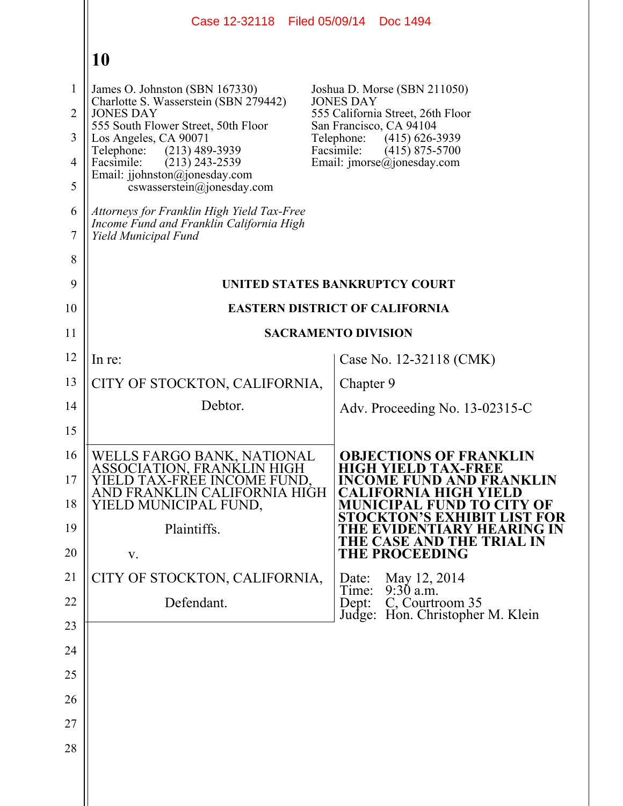|                     |                                                                                                                | Case 12-32118 Filed 05/09/14 Doc 1494                            |
|---------------------|----------------------------------------------------------------------------------------------------------------|------------------------------------------------------------------|
|                     | 10                                                                                                             |                                                                  |
| 1                   | James O. Johnston (SBN 167330)                                                                                 | Joshua D. Morse (SBN 211050)<br><b>JONES DAY</b>                 |
| $\overline{2}$      | Charlotte S. Wasserstein (SBN 279442)<br><b>JONES DAY</b>                                                      | 555 California Street, 26th Floor<br>San Francisco, CA 94104     |
| 3                   | 555 South Flower Street, 50th Floor<br>Los Angeles, CA 90071<br>Telephone:<br>$(213)$ 489-3939                 | Telephone:<br>$(415)$ 626-3939<br>Facsimile:<br>$(415)$ 875-5700 |
| $\overline{4}$      | Facsimile:<br>$(213)$ 243-2539<br>Email: jjohnston@jonesday.com                                                | Email: $\text{imorse}(\hat{a})$ jonesday.com                     |
| 5                   | cswasserstein@jonesday.com                                                                                     |                                                                  |
| 6<br>$\overline{7}$ | Attorneys for Franklin High Yield Tax-Free<br>Income Fund and Franklin California High<br>Yield Municipal Fund |                                                                  |
| 8                   |                                                                                                                |                                                                  |
| 9                   |                                                                                                                | UNITED STATES BANKRUPTCY COURT                                   |
| 10                  |                                                                                                                | <b>EASTERN DISTRICT OF CALIFORNIA</b>                            |
| 11                  |                                                                                                                | <b>SACRAMENTO DIVISION</b>                                       |
| 12                  | In re:                                                                                                         | Case No. 12-32118 (CMK)                                          |
| 13                  | CITY OF STOCKTON, CALIFORNIA,                                                                                  | Chapter 9                                                        |
| 14                  | Debtor.                                                                                                        | Adv. Proceeding No. $13-02315-C$                                 |
| 15                  |                                                                                                                |                                                                  |
| 16                  | WELLS FARGO BANK, NATIONAL                                                                                     | <b>OBJECTIONS OF FRANKLIN</b><br><b>HIGH YIELD TAX-FREE</b>      |
| 17                  | ASSOCIATION, FRANKLIN HIGH<br>YIELD TAX-FREE INCOME FUND.<br>AND FRANKLIN CALIFORNIA HIGH                      | <b>INCOME FUND AND FRANKLIN</b><br>CALIFORNIA HIGH YIELD         |
| 18                  | YIELD MUNICIPAL FUND,                                                                                          | <b>MUNICIPAL FUND TO CITY OF</b><br>STOCKTON'S EXHIBIT LIST FOR  |
| 19                  | Plaintiffs.                                                                                                    | HE EVIDENTIARY HEARING IN<br>THE CASE AND THE TRIAL IN           |
| 20                  | V.                                                                                                             | <b>THE PROCEEDING</b>                                            |
| 21                  | CITY OF STOCKTON, CALIFORNIA,                                                                                  | May 12, 2014<br>Date:<br>$9:30$ a.m.<br>Time:                    |
| 22                  | Defendant.                                                                                                     | C, Courtroom 35<br>Dept:<br>Judge: Hon. Christopher M. Klein     |
| 23                  |                                                                                                                |                                                                  |
| 24                  |                                                                                                                |                                                                  |
| 25                  |                                                                                                                |                                                                  |
| 26                  |                                                                                                                |                                                                  |
| 27                  |                                                                                                                |                                                                  |
| 28                  |                                                                                                                |                                                                  |
|                     |                                                                                                                |                                                                  |

 $\parallel$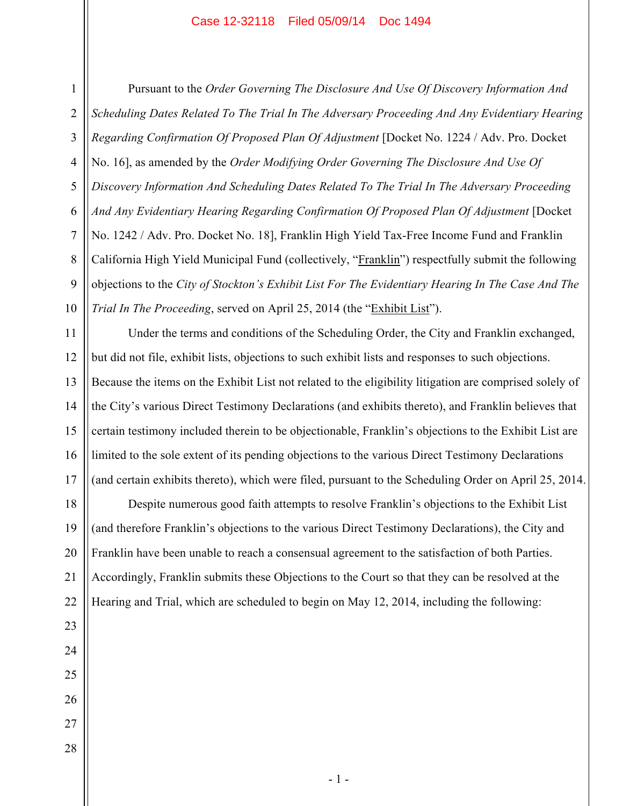1 4 5 6 7 8 9 10 Pursuant to the *Order Governing The Disclosure And Use Of Discovery Information And Scheduling Dates Related To The Trial In The Adversary Proceeding And Any Evidentiary Hearing Regarding Confirmation Of Proposed Plan Of Adjustment* [Docket No. 1224 / Adv. Pro. Docket No. 16], as amended by the *Order Modifying Order Governing The Disclosure And Use Of Discovery Information And Scheduling Dates Related To The Trial In The Adversary Proceeding And Any Evidentiary Hearing Regarding Confirmation Of Proposed Plan Of Adjustment* [Docket No. 1242 / Adv. Pro. Docket No. 18], Franklin High Yield Tax-Free Income Fund and Franklin California High Yield Municipal Fund (collectively, "Franklin") respectfully submit the following objections to the *City of Stockton's Exhibit List For The Evidentiary Hearing In The Case And The Trial In The Proceeding*, served on April 25, 2014 (the "Exhibit List").

11 12 13 14 15 16 17 Under the terms and conditions of the Scheduling Order, the City and Franklin exchanged, but did not file, exhibit lists, objections to such exhibit lists and responses to such objections. Because the items on the Exhibit List not related to the eligibility litigation are comprised solely of the City's various Direct Testimony Declarations (and exhibits thereto), and Franklin believes that certain testimony included therein to be objectionable, Franklin's objections to the Exhibit List are limited to the sole extent of its pending objections to the various Direct Testimony Declarations (and certain exhibits thereto), which were filed, pursuant to the Scheduling Order on April 25, 2014.

18 19 20 21 22 Despite numerous good faith attempts to resolve Franklin's objections to the Exhibit List (and therefore Franklin's objections to the various Direct Testimony Declarations), the City and Franklin have been unable to reach a consensual agreement to the satisfaction of both Parties. Accordingly, Franklin submits these Objections to the Court so that they can be resolved at the Hearing and Trial, which are scheduled to begin on May 12, 2014, including the following:

28

23

24

25

26

27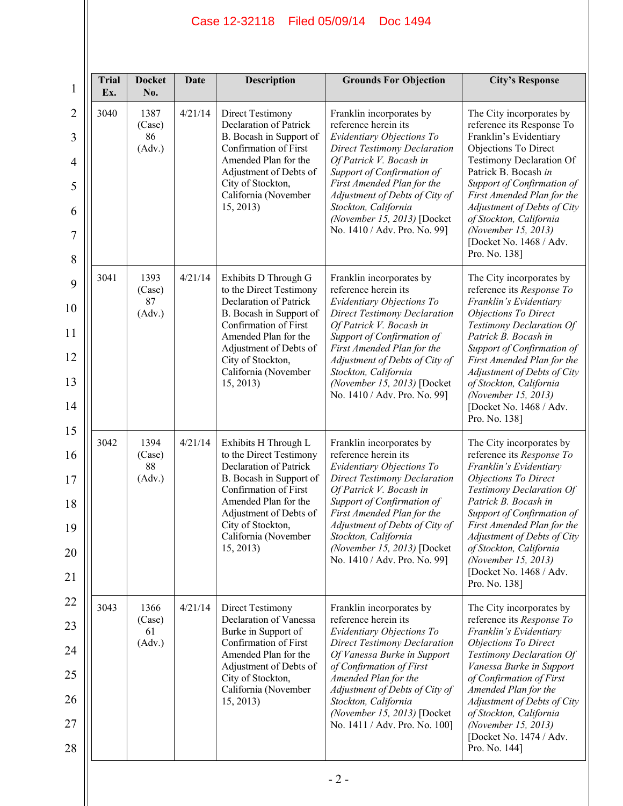| <b>Trial</b><br>Ex. | <b>Docket</b><br>No.           | Date    | <b>Description</b>                                                                                                                                                                                                                        | <b>Grounds For Objection</b>                                                                                                                                                                                                                                                                                                         | <b>City's Response</b>                                                                                                                                                                                                                                                                                                                                      |
|---------------------|--------------------------------|---------|-------------------------------------------------------------------------------------------------------------------------------------------------------------------------------------------------------------------------------------------|--------------------------------------------------------------------------------------------------------------------------------------------------------------------------------------------------------------------------------------------------------------------------------------------------------------------------------------|-------------------------------------------------------------------------------------------------------------------------------------------------------------------------------------------------------------------------------------------------------------------------------------------------------------------------------------------------------------|
| 3040                | 1387<br>(Case)<br>86<br>(Adv.) | 4/21/14 | <b>Direct Testimony</b><br><b>Declaration of Patrick</b><br>B. Bocash in Support of<br>Confirmation of First<br>Amended Plan for the<br>Adjustment of Debts of<br>City of Stockton,<br>California (November<br>15, 2013)                  | Franklin incorporates by<br>reference herein its<br>Evidentiary Objections To<br><b>Direct Testimony Declaration</b><br>Of Patrick V. Bocash in<br>Support of Confirmation of<br>First Amended Plan for the<br>Adjustment of Debts of City of<br>Stockton, California<br>(November 15, 2013) [Docket<br>No. 1410 / Adv. Pro. No. 99] | The City incorporates by<br>reference its Response To<br>Franklin's Evidentiary<br>Objections To Direct<br><b>Testimony Declaration Of</b><br>Patrick B. Bocash in<br>Support of Confirmation of<br>First Amended Plan for the<br>Adjustment of Debts of City<br>of Stockton, California<br>(November 15, 2013)<br>[Docket No. 1468 / Adv.<br>Pro. No. 138] |
| 3041                | 1393<br>(Case)<br>87<br>(Adv.) | 4/21/14 | Exhibits D Through G<br>to the Direct Testimony<br>Declaration of Patrick<br>B. Bocash in Support of<br>Confirmation of First<br>Amended Plan for the<br>Adjustment of Debts of<br>City of Stockton,<br>California (November<br>15, 2013) | Franklin incorporates by<br>reference herein its<br>Evidentiary Objections To<br><b>Direct Testimony Declaration</b><br>Of Patrick V. Bocash in<br>Support of Confirmation of<br>First Amended Plan for the<br>Adjustment of Debts of City of<br>Stockton, California<br>(November 15, 2013) [Docket<br>No. 1410 / Adv. Pro. No. 99] | The City incorporates by<br>reference its Response To<br>Franklin's Evidentiary<br><b>Objections To Direct</b><br>Testimony Declaration Of<br>Patrick B. Bocash in<br>Support of Confirmation of<br>First Amended Plan for the<br>Adjustment of Debts of City<br>of Stockton, California<br>(November 15, 2013)<br>[Docket No. 1468 / Adv.<br>Pro. No. 138] |
| 3042                | 1394<br>(Case)<br>88<br>(Adv.) | 4/21/14 | Exhibits H Through L<br>to the Direct Testimony<br>Declaration of Patrick<br>B. Bocash in Support of<br>Confirmation of First<br>Amended Plan for the<br>Adjustment of Debts of<br>City of Stockton,<br>California (November<br>15, 2013) | Franklin incorporates by<br>reference herein its<br>Evidentiary Objections To<br><b>Direct Testimony Declaration</b><br>Of Patrick V. Bocash in<br>Support of Confirmation of<br>First Amended Plan for the<br>Adjustment of Debts of City of<br>Stockton, California<br>(November 15, 2013) [Docket<br>No. 1410 / Adv. Pro. No. 99] | The City incorporates by<br>reference its Response To<br>Franklin's Evidentiary<br><b>Objections To Direct</b><br>Testimony Declaration Of<br>Patrick B. Bocash in<br>Support of Confirmation of<br>First Amended Plan for the<br>Adjustment of Debts of City<br>of Stockton, California<br>(November 15, 2013)<br>[Docket No. 1468 / Adv.<br>Pro. No. 138] |
| 3043                | 1366<br>(Case)<br>61<br>(Adv.) | 4/21/14 | Direct Testimony<br>Declaration of Vanessa<br>Burke in Support of<br>Confirmation of First<br>Amended Plan for the<br>Adjustment of Debts of<br>City of Stockton,<br>California (November<br>15, 2013)                                    | Franklin incorporates by<br>reference herein its<br>Evidentiary Objections To<br><b>Direct Testimony Declaration</b><br>Of Vanessa Burke in Support<br>of Confirmation of First<br>Amended Plan for the<br>Adjustment of Debts of City of<br>Stockton, California<br>(November 15, 2013) [Docket<br>No. 1411 / Adv. Pro. No. 100]    | The City incorporates by<br>reference its Response To<br>Franklin's Evidentiary<br><b>Objections To Direct</b><br>Testimony Declaration Of<br>Vanessa Burke in Support<br>of Confirmation of First<br>Amended Plan for the<br>Adjustment of Debts of City<br>of Stockton, California<br>(November 15, 2013)<br>[Docket No. 1474 / Adv.<br>Pro. No. 144]     |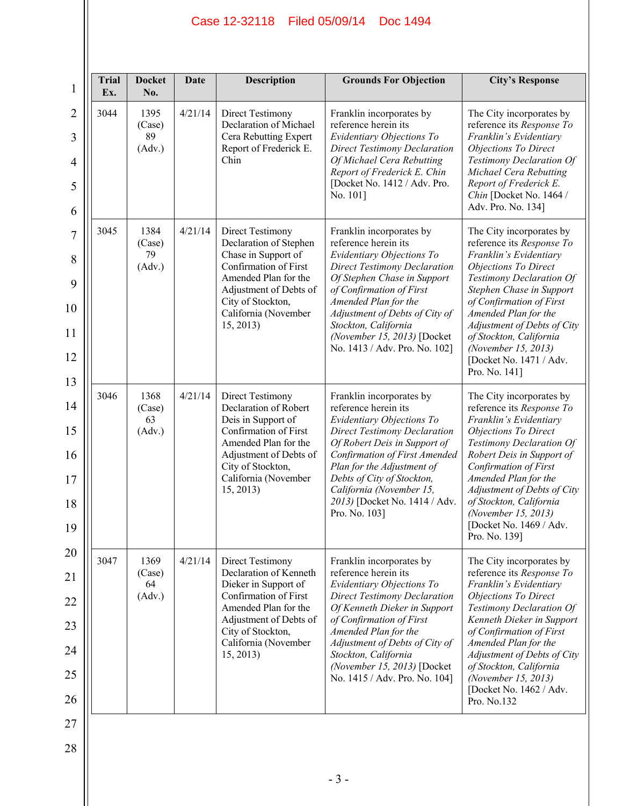| <b>Trial</b><br>Ex. | <b>Docket</b><br>No.           | Date    | <b>Description</b>                                                                                                                                                                                             | <b>Grounds For Objection</b>                                                                                                                                                                                                                                                                                                       | <b>City's Response</b>                                                                                                                                                                                                                                                                                                                                 |
|---------------------|--------------------------------|---------|----------------------------------------------------------------------------------------------------------------------------------------------------------------------------------------------------------------|------------------------------------------------------------------------------------------------------------------------------------------------------------------------------------------------------------------------------------------------------------------------------------------------------------------------------------|--------------------------------------------------------------------------------------------------------------------------------------------------------------------------------------------------------------------------------------------------------------------------------------------------------------------------------------------------------|
| 3044                | 1395<br>(Case)<br>89<br>(Adv.) | 4/21/14 | <b>Direct Testimony</b><br>Declaration of Michael<br>Cera Rebutting Expert<br>Report of Frederick E.<br>Chin                                                                                                   | Franklin incorporates by<br>reference herein its<br>Evidentiary Objections To<br><b>Direct Testimony Declaration</b><br>Of Michael Cera Rebutting<br>Report of Frederick E. Chin<br>[Docket No. 1412 / Adv. Pro.<br>No. 101]                                                                                                       | The City incorporates by<br>reference its Response To<br>Franklin's Evidentiary<br>Objections To Direct<br>Testimony Declaration Of<br>Michael Cera Rebutting<br>Report of Frederick E.<br>Chin [Docket No. 1464 /<br>Adv. Pro. No. 134]                                                                                                               |
| 3045                | 1384<br>(Case)<br>79<br>(Adv.) | 4/21/14 | <b>Direct Testimony</b><br>Declaration of Stephen<br>Chase in Support of<br>Confirmation of First<br>Amended Plan for the<br>Adjustment of Debts of<br>City of Stockton,<br>California (November<br>15, 2013)  | Franklin incorporates by<br>reference herein its<br>Evidentiary Objections To<br><b>Direct Testimony Declaration</b><br>Of Stephen Chase in Support<br>of Confirmation of First<br>Amended Plan for the<br>Adjustment of Debts of City of<br>Stockton, California<br>(November 15, 2013) [Docket<br>No. 1413 / Adv. Pro. No. 102]  | The City incorporates by<br>reference its Response To<br>Franklin's Evidentiary<br>Objections To Direct<br>Testimony Declaration Of<br>Stephen Chase in Support<br>of Confirmation of First<br>Amended Plan for the<br>Adjustment of Debts of City<br>of Stockton, California<br>(November 15, 2013)<br>[Docket No. 1471 / Adv.<br>Pro. No. 141]       |
| 3046                | 1368<br>(Case)<br>63<br>(Adv.) | 4/21/14 | Direct Testimony<br>Declaration of Robert<br>Deis in Support of<br>Confirmation of First<br>Amended Plan for the<br>Adjustment of Debts of<br>City of Stockton,<br>California (November<br>15, 2013)           | Franklin incorporates by<br>reference herein its<br>Evidentiary Objections To<br><b>Direct Testimony Declaration</b><br>Of Robert Deis in Support of<br>Confirmation of First Amended<br>Plan for the Adjustment of<br>Debts of City of Stockton,<br>California (November 15,<br>2013) [Docket No. 1414 / Adv.<br>Pro. No. 103]    | The City incorporates by<br>reference its Response To<br>Franklin's Evidentiary<br>Objections To Direct<br>Testimony Declaration Of<br>Robert Deis in Support of<br>Confirmation of First<br>Amended Plan for the<br>Adjustment of Debts of City<br>of Stockton, California<br>(November 15, 2013)<br>[Docket No. 1469 / Adv.<br>Pro. No. 139]         |
| 3047                | 1369<br>(Case)<br>64<br>(Adv.) | 4/21/14 | <b>Direct Testimony</b><br>Declaration of Kenneth<br>Dieker in Support of<br>Confirmation of First<br>Amended Plan for the<br>Adjustment of Debts of<br>City of Stockton,<br>California (November<br>15, 2013) | Franklin incorporates by<br>reference herein its<br>Evidentiary Objections To<br><b>Direct Testimony Declaration</b><br>Of Kenneth Dieker in Support<br>of Confirmation of First<br>Amended Plan for the<br>Adjustment of Debts of City of<br>Stockton, California<br>(November 15, 2013) [Docket<br>No. 1415 / Adv. Pro. No. 104] | The City incorporates by<br>reference its Response To<br>Franklin's Evidentiary<br><b>Objections To Direct</b><br>Testimony Declaration Of<br>Kenneth Dieker in Support<br>of Confirmation of First<br>Amended Plan for the<br>Adjustment of Debts of City<br>of Stockton, California<br>(November 15, 2013)<br>[Docket No. 1462 / Adv.<br>Pro. No.132 |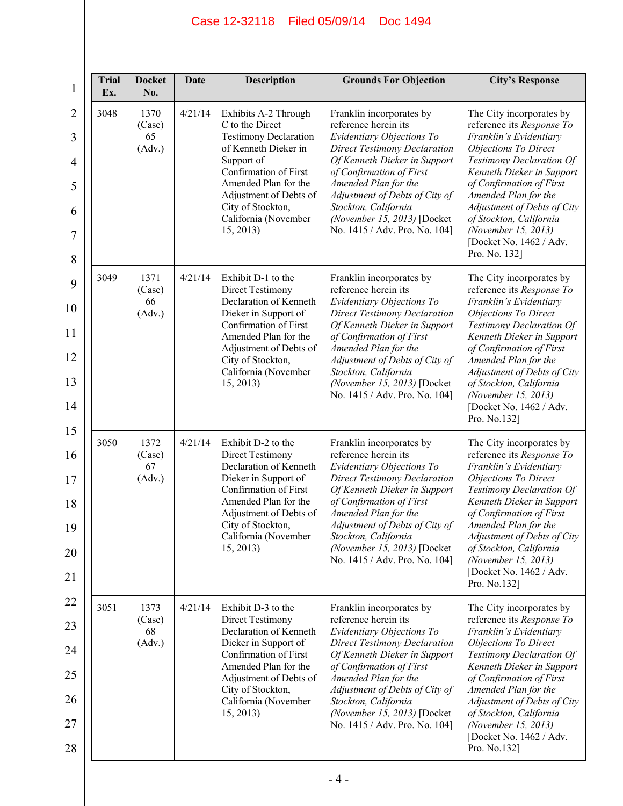| <b>Trial</b><br>Ex. | <b>Docket</b><br>No.           | <b>Date</b> | <b>Description</b>                                                                                                                                                                                                                                 | <b>Grounds For Objection</b>                                                                                                                                                                                                                                                                                                       | <b>City's Response</b>                                                                                                                                                                                                                                                                                                                                   |
|---------------------|--------------------------------|-------------|----------------------------------------------------------------------------------------------------------------------------------------------------------------------------------------------------------------------------------------------------|------------------------------------------------------------------------------------------------------------------------------------------------------------------------------------------------------------------------------------------------------------------------------------------------------------------------------------|----------------------------------------------------------------------------------------------------------------------------------------------------------------------------------------------------------------------------------------------------------------------------------------------------------------------------------------------------------|
| 3048                | 1370<br>(Case)<br>65<br>(Adv.) | 4/21/14     | Exhibits A-2 Through<br>C to the Direct<br><b>Testimony Declaration</b><br>of Kenneth Dieker in<br>Support of<br>Confirmation of First<br>Amended Plan for the<br>Adjustment of Debts of<br>City of Stockton,<br>California (November<br>15, 2013) | Franklin incorporates by<br>reference herein its<br>Evidentiary Objections To<br><b>Direct Testimony Declaration</b><br>Of Kenneth Dieker in Support<br>of Confirmation of First<br>Amended Plan for the<br>Adjustment of Debts of City of<br>Stockton, California<br>(November 15, 2013) [Docket<br>No. 1415 / Adv. Pro. No. 104] | The City incorporates by<br>reference its Response To<br>Franklin's Evidentiary<br><b>Objections To Direct</b><br>Testimony Declaration Of<br>Kenneth Dieker in Support<br>of Confirmation of First<br>Amended Plan for the<br>Adjustment of Debts of City<br>of Stockton, California<br>(November 15, 2013)<br>[Docket No. 1462 / Adv.<br>Pro. No. 132] |
| 3049                | 1371<br>(Case)<br>66<br>(Adv.) | 4/21/14     | Exhibit D-1 to the<br><b>Direct Testimony</b><br>Declaration of Kenneth<br>Dieker in Support of<br>Confirmation of First<br>Amended Plan for the<br>Adjustment of Debts of<br>City of Stockton,<br>California (November<br>15, 2013)               | Franklin incorporates by<br>reference herein its<br>Evidentiary Objections To<br><b>Direct Testimony Declaration</b><br>Of Kenneth Dieker in Support<br>of Confirmation of First<br>Amended Plan for the<br>Adjustment of Debts of City of<br>Stockton, California<br>(November 15, 2013) [Docket<br>No. 1415 / Adv. Pro. No. 104] | The City incorporates by<br>reference its Response To<br>Franklin's Evidentiary<br>Objections To Direct<br>Testimony Declaration Of<br>Kenneth Dieker in Support<br>of Confirmation of First<br>Amended Plan for the<br>Adjustment of Debts of City<br>of Stockton, California<br>(November 15, 2013)<br>[Docket No. 1462 / Adv.<br>Pro. No.132]         |
| 3050                | 1372<br>(Case)<br>67<br>(Adv.) | 4/21/14     | Exhibit D-2 to the<br>Direct Testimony<br>Declaration of Kenneth<br>Dieker in Support of<br>Confirmation of First<br>Amended Plan for the<br>Adjustment of Debts of<br>City of Stockton,<br>California (November<br>15, 2013)                      | Franklin incorporates by<br>reference herein its<br>Evidentiary Objections To<br><b>Direct Testimony Declaration</b><br>Of Kenneth Dieker in Support<br>of Confirmation of First<br>Amended Plan for the<br>Adjustment of Debts of City of<br>Stockton, California<br>(November 15, 2013) [Docket<br>No. 1415 / Adv. Pro. No. 104] | The City incorporates by<br>reference its Response To<br>Franklin's Evidentiary<br><b>Objections To Direct</b><br>Testimony Declaration Of<br>Kenneth Dieker in Support<br>of Confirmation of First<br>Amended Plan for the<br>Adjustment of Debts of City<br>of Stockton, California<br>(November 15, 2013)<br>[Docket No. 1462 / Adv.<br>Pro. No.132]  |
| 3051                | 1373<br>(Case)<br>68<br>(Adv.) | 4/21/14     | Exhibit D-3 to the<br><b>Direct Testimony</b><br>Declaration of Kenneth<br>Dieker in Support of<br>Confirmation of First<br>Amended Plan for the<br>Adjustment of Debts of<br>City of Stockton,<br>California (November<br>15, 2013)               | Franklin incorporates by<br>reference herein its<br>Evidentiary Objections To<br><b>Direct Testimony Declaration</b><br>Of Kenneth Dieker in Support<br>of Confirmation of First<br>Amended Plan for the<br>Adjustment of Debts of City of<br>Stockton, California<br>(November 15, 2013) [Docket<br>No. 1415 / Adv. Pro. No. 104] | The City incorporates by<br>reference its Response To<br>Franklin's Evidentiary<br><b>Objections To Direct</b><br>Testimony Declaration Of<br>Kenneth Dieker in Support<br>of Confirmation of First<br>Amended Plan for the<br>Adjustment of Debts of City<br>of Stockton, California<br>(November 15, 2013)<br>[Docket No. 1462 / Adv.<br>Pro. No.132]  |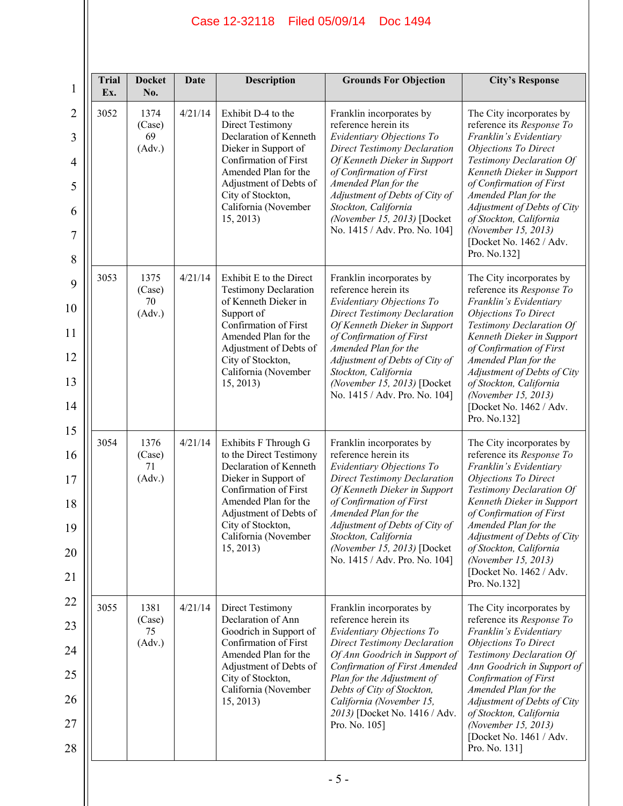| <b>Trial</b><br>Ex. | <b>Docket</b><br>No.           | Date    | <b>Description</b>                                                                                                                                                                                                                     | <b>Grounds For Objection</b>                                                                                                                                                                                                                                                                                                       | <b>City's Response</b>                                                                                                                                                                                                                                                                                                                                        |
|---------------------|--------------------------------|---------|----------------------------------------------------------------------------------------------------------------------------------------------------------------------------------------------------------------------------------------|------------------------------------------------------------------------------------------------------------------------------------------------------------------------------------------------------------------------------------------------------------------------------------------------------------------------------------|---------------------------------------------------------------------------------------------------------------------------------------------------------------------------------------------------------------------------------------------------------------------------------------------------------------------------------------------------------------|
| 3052                | 1374<br>(Case)<br>69<br>(Adv.) | 4/21/14 | Exhibit D-4 to the<br><b>Direct Testimony</b><br>Declaration of Kenneth<br>Dieker in Support of<br>Confirmation of First<br>Amended Plan for the<br>Adjustment of Debts of<br>City of Stockton,<br>California (November<br>15, 2013)   | Franklin incorporates by<br>reference herein its<br>Evidentiary Objections To<br><b>Direct Testimony Declaration</b><br>Of Kenneth Dieker in Support<br>of Confirmation of First<br>Amended Plan for the<br>Adjustment of Debts of City of<br>Stockton, California<br>(November 15, 2013) [Docket<br>No. 1415 / Adv. Pro. No. 104] | The City incorporates by<br>reference its Response To<br>Franklin's Evidentiary<br>Objections To Direct<br>Testimony Declaration Of<br>Kenneth Dieker in Support<br>of Confirmation of First<br>Amended Plan for the<br>Adjustment of Debts of City<br>of Stockton, California<br>(November 15, 2013)<br>[Docket No. 1462 / Adv.<br>Pro. No.132]              |
| 3053                | 1375<br>(Case)<br>70<br>(Adv.) | 4/21/14 | Exhibit E to the Direct<br><b>Testimony Declaration</b><br>of Kenneth Dieker in<br>Support of<br>Confirmation of First<br>Amended Plan for the<br>Adjustment of Debts of<br>City of Stockton,<br>California (November<br>15, 2013)     | Franklin incorporates by<br>reference herein its<br>Evidentiary Objections To<br><b>Direct Testimony Declaration</b><br>Of Kenneth Dieker in Support<br>of Confirmation of First<br>Amended Plan for the<br>Adjustment of Debts of City of<br>Stockton, California<br>(November 15, 2013) [Docket<br>No. 1415 / Adv. Pro. No. 104] | The City incorporates by<br>reference its Response To<br>Franklin's Evidentiary<br>Objections To Direct<br>Testimony Declaration Of<br>Kenneth Dieker in Support<br>of Confirmation of First<br>Amended Plan for the<br>Adjustment of Debts of City<br>of Stockton, California<br>(November 15, 2013)<br>[Docket No. 1462 / Adv.<br>Pro. No.132]              |
| 3054                | 1376<br>(Case)<br>71<br>(Adv.) | 4/21/14 | Exhibits F Through G<br>to the Direct Testimony<br>Declaration of Kenneth<br>Dieker in Support of<br>Confirmation of First<br>Amended Plan for the<br>Adjustment of Debts of<br>City of Stockton,<br>California (November<br>15, 2013) | Franklin incorporates by<br>reference herein its<br>Evidentiary Objections To<br><b>Direct Testimony Declaration</b><br>Of Kenneth Dieker in Support<br>of Confirmation of First<br>Amended Plan for the<br>Adjustment of Debts of City of<br>Stockton, California<br>(November 15, 2013) [Docket<br>No. 1415 / Adv. Pro. No. 104] | The City incorporates by<br>reference its Response To<br>Franklin's Evidentiary<br>Objections To Direct<br>Testimony Declaration Of<br>Kenneth Dieker in Support<br>of Confirmation of First<br>Amended Plan for the<br>Adjustment of Debts of City<br>of Stockton, California<br>(November 15, 2013)<br>[Docket No. 1462 / Adv.<br>Pro. No.132]              |
| 3055                | 1381<br>(Case)<br>75<br>(Adv.) | 4/21/14 | Direct Testimony<br>Declaration of Ann<br>Goodrich in Support of<br>Confirmation of First<br>Amended Plan for the<br>Adjustment of Debts of<br>City of Stockton,<br>California (November<br>15, 2013)                                  | Franklin incorporates by<br>reference herein its<br>Evidentiary Objections To<br><b>Direct Testimony Declaration</b><br>Of Ann Goodrich in Support of<br>Confirmation of First Amended<br>Plan for the Adjustment of<br>Debts of City of Stockton,<br>California (November 15,<br>2013) [Docket No. 1416 / Adv.<br>Pro. No. 105]   | The City incorporates by<br>reference its Response To<br>Franklin's Evidentiary<br><b>Objections To Direct</b><br>Testimony Declaration Of<br>Ann Goodrich in Support of<br><b>Confirmation of First</b><br>Amended Plan for the<br>Adjustment of Debts of City<br>of Stockton, California<br>(November 15, 2013)<br>[Docket No. 1461 / Adv.<br>Pro. No. 131] |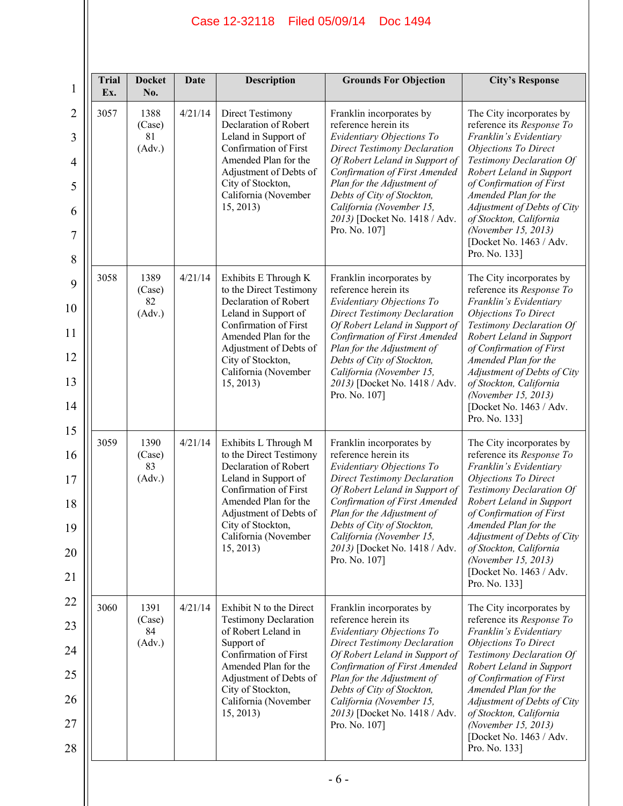| <b>Trial</b><br>$\mathbf{1}$<br>Ex. | <b>Docket</b><br>No.           | <b>Date</b> | <b>Description</b>                                                                                                                                                                                                                    | <b>Grounds For Objection</b>                                                                                                                                                                                                                                                                                                      | <b>City's Response</b>                                                                                                                                                                                                                                                                                                                                  |
|-------------------------------------|--------------------------------|-------------|---------------------------------------------------------------------------------------------------------------------------------------------------------------------------------------------------------------------------------------|-----------------------------------------------------------------------------------------------------------------------------------------------------------------------------------------------------------------------------------------------------------------------------------------------------------------------------------|---------------------------------------------------------------------------------------------------------------------------------------------------------------------------------------------------------------------------------------------------------------------------------------------------------------------------------------------------------|
| 3057                                | 1388<br>(Case)<br>81<br>(Adv.) | 4/21/14     | <b>Direct Testimony</b><br>Declaration of Robert<br>Leland in Support of<br>Confirmation of First<br>Amended Plan for the<br>Adjustment of Debts of<br>City of Stockton,<br>California (November<br>15, 2013)                         | Franklin incorporates by<br>reference herein its<br>Evidentiary Objections To<br><b>Direct Testimony Declaration</b><br>Of Robert Leland in Support of<br>Confirmation of First Amended<br>Plan for the Adjustment of<br>Debts of City of Stockton,<br>California (November 15,<br>2013) [Docket No. 1418 / Adv.<br>Pro. No. 107] | The City incorporates by<br>reference its Response To<br>Franklin's Evidentiary<br><b>Objections To Direct</b><br>Testimony Declaration Of<br>Robert Leland in Support<br>of Confirmation of First<br>Amended Plan for the<br>Adjustment of Debts of City<br>of Stockton, California<br>(November 15, 2013)<br>[Docket No. 1463 / Adv.<br>Pro. No. 133] |
| 3058                                | 1389<br>(Case)<br>82<br>(Adv.) | 4/21/14     | Exhibits E Through K<br>to the Direct Testimony<br>Declaration of Robert<br>Leland in Support of<br>Confirmation of First<br>Amended Plan for the<br>Adjustment of Debts of<br>City of Stockton,<br>California (November<br>15, 2013) | Franklin incorporates by<br>reference herein its<br>Evidentiary Objections To<br><b>Direct Testimony Declaration</b><br>Of Robert Leland in Support of<br>Confirmation of First Amended<br>Plan for the Adjustment of<br>Debts of City of Stockton,<br>California (November 15,<br>2013) [Docket No. 1418 / Adv.<br>Pro. No. 107] | The City incorporates by<br>reference its Response To<br>Franklin's Evidentiary<br>Objections To Direct<br>Testimony Declaration Of<br>Robert Leland in Support<br>of Confirmation of First<br>Amended Plan for the<br>Adjustment of Debts of City<br>of Stockton, California<br>(November 15, 2013)<br>[Docket No. 1463 / Adv.<br>Pro. No. 133]        |
| 3059                                | 1390<br>(Case)<br>83<br>(Adv.) | 4/21/14     | Exhibits L Through M<br>to the Direct Testimony<br>Declaration of Robert<br>Leland in Support of<br>Confirmation of First<br>Amended Plan for the<br>Adjustment of Debts of<br>City of Stockton,<br>California (November<br>15, 2013) | Franklin incorporates by<br>reference herein its<br>Evidentiary Objections To<br><b>Direct Testimony Declaration</b><br>Of Robert Leland in Support of<br>Confirmation of First Amended<br>Plan for the Adjustment of<br>Debts of City of Stockton,<br>California (November 15,<br>2013) [Docket No. 1418 / Adv.<br>Pro. No. 107] | The City incorporates by<br>reference its Response To<br>Franklin's Evidentiary<br><b>Objections To Direct</b><br>Testimony Declaration Of<br>Robert Leland in Support<br>of Confirmation of First<br>Amended Plan for the<br>Adjustment of Debts of City<br>of Stockton, California<br>(November 15, 2013)<br>[Docket No. 1463 / Adv.<br>Pro. No. 133] |
| 3060                                | 1391<br>(Case)<br>84<br>(Adv.) | 4/21/14     | Exhibit N to the Direct<br><b>Testimony Declaration</b><br>of Robert Leland in<br>Support of<br>Confirmation of First<br>Amended Plan for the<br>Adjustment of Debts of<br>City of Stockton,<br>California (November<br>15, 2013)     | Franklin incorporates by<br>reference herein its<br>Evidentiary Objections To<br><b>Direct Testimony Declaration</b><br>Of Robert Leland in Support of<br>Confirmation of First Amended<br>Plan for the Adjustment of<br>Debts of City of Stockton,<br>California (November 15,<br>2013) [Docket No. 1418 / Adv.<br>Pro. No. 107] | The City incorporates by<br>reference its Response To<br>Franklin's Evidentiary<br><b>Objections To Direct</b><br>Testimony Declaration Of<br>Robert Leland in Support<br>of Confirmation of First<br>Amended Plan for the<br>Adjustment of Debts of City<br>of Stockton, California<br>(November 15, 2013)<br>[Docket No. 1463 / Adv.<br>Pro. No. 133] |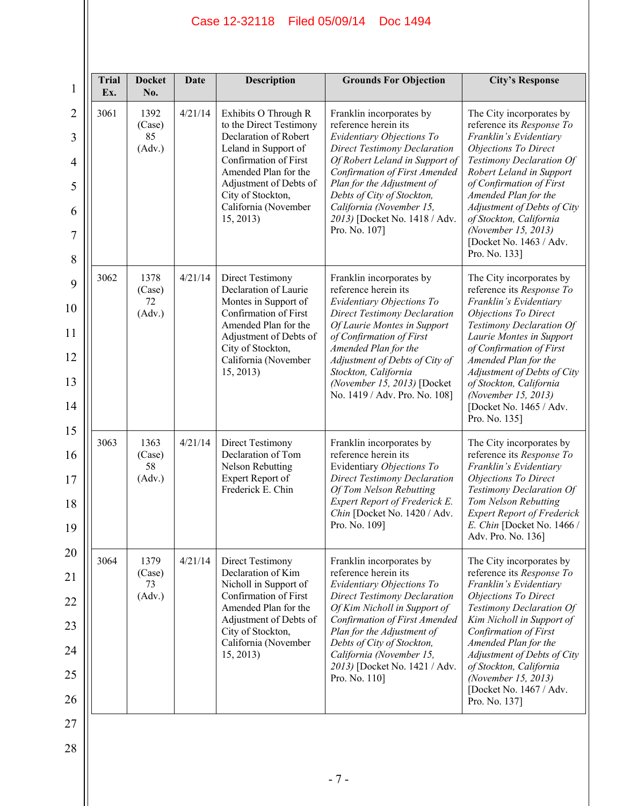| <b>Docket</b><br>No.           | <b>Date</b> | <b>Description</b>                                                                                                                                                                                                                    | <b>Grounds For Objection</b>                                                                                                                                                                                                                                                                                                      | <b>City's Response</b>                                                                                                                                                                                                                                                                                                                                  |
|--------------------------------|-------------|---------------------------------------------------------------------------------------------------------------------------------------------------------------------------------------------------------------------------------------|-----------------------------------------------------------------------------------------------------------------------------------------------------------------------------------------------------------------------------------------------------------------------------------------------------------------------------------|---------------------------------------------------------------------------------------------------------------------------------------------------------------------------------------------------------------------------------------------------------------------------------------------------------------------------------------------------------|
| 1392<br>(Case)<br>85<br>(Adv.) | 4/21/14     | Exhibits O Through R<br>to the Direct Testimony<br>Declaration of Robert<br>Leland in Support of<br>Confirmation of First<br>Amended Plan for the<br>Adjustment of Debts of<br>City of Stockton,<br>California (November<br>15, 2013) | Franklin incorporates by<br>reference herein its<br>Evidentiary Objections To<br><b>Direct Testimony Declaration</b><br>Of Robert Leland in Support of<br>Confirmation of First Amended<br>Plan for the Adjustment of<br>Debts of City of Stockton,<br>California (November 15,<br>2013) [Docket No. 1418 / Adv.<br>Pro. No. 107] | The City incorporates by<br>reference its Response To<br>Franklin's Evidentiary<br><b>Objections To Direct</b><br>Testimony Declaration Of<br>Robert Leland in Support<br>of Confirmation of First<br>Amended Plan for the<br>Adjustment of Debts of City<br>of Stockton, California<br>(November 15, 2013)<br>[Docket No. 1463 / Adv.<br>Pro. No. 133] |
| 1378<br>(Case)<br>72<br>(Adv.) | 4/21/14     | Direct Testimony<br>Declaration of Laurie<br>Montes in Support of<br>Confirmation of First<br>Amended Plan for the<br>Adjustment of Debts of<br>City of Stockton,<br>California (November<br>15, 2013)                                | Franklin incorporates by<br>reference herein its<br>Evidentiary Objections To<br><b>Direct Testimony Declaration</b><br>Of Laurie Montes in Support<br>of Confirmation of First<br>Amended Plan for the<br>Adjustment of Debts of City of<br>Stockton, California<br>(November 15, 2013) [Docket<br>No. 1419 / Adv. Pro. No. 108] | The City incorporates by<br>reference its Response To<br>Franklin's Evidentiary<br><b>Objections To Direct</b><br>Testimony Declaration Of<br>Laurie Montes in Support<br>of Confirmation of First<br>Amended Plan for the<br>Adjustment of Debts of City<br>of Stockton, California<br>(November 15, 2013)<br>[Docket No. 1465 / Adv.<br>Pro. No. 135] |
| 1363<br>(Case)<br>58<br>(Adv.) | 4/21/14     | <b>Direct Testimony</b><br>Declaration of Tom<br><b>Nelson Rebutting</b><br>Expert Report of<br>Frederick E. Chin                                                                                                                     | Franklin incorporates by<br>reference herein its<br>Evidentiary Objections To<br><b>Direct Testimony Declaration</b><br>Of Tom Nelson Rebutting<br>Expert Report of Frederick E.<br>Chin [Docket No. 1420 / Adv.<br>Pro. No. 109]                                                                                                 | The City incorporates by<br>reference its Response To<br>Franklin's Evidentiary<br>Objections To Direct<br>Testimony Declaration Of<br>Tom Nelson Rebutting<br><b>Expert Report of Frederick</b><br>E. Chin [Docket No. 1466 /<br>Adv. Pro. No. 136]                                                                                                    |
| 1379<br>(Case)<br>73<br>(Adv.) | 4/21/14     | <b>Direct Testimony</b><br>Declaration of Kim<br>Nicholl in Support of<br>Confirmation of First<br>Amended Plan for the<br>Adjustment of Debts of<br>City of Stockton,<br>California (November<br>15, 2013)                           | Franklin incorporates by<br>reference herein its<br>Evidentiary Objections To<br><b>Direct Testimony Declaration</b><br>Of Kim Nicholl in Support of<br>Confirmation of First Amended<br>Plan for the Adjustment of<br>Debts of City of Stockton,<br>California (November 15,<br>2013) [Docket No. 1421 / Adv.<br>Pro. No. 110]   | The City incorporates by<br>reference its Response To<br>Franklin's Evidentiary<br><b>Objections To Direct</b><br>Testimony Declaration Of<br>Kim Nicholl in Support of<br>Confirmation of First<br>Amended Plan for the<br>Adjustment of Debts of City<br>of Stockton, California<br>(November 15, 2013)<br>[Docket No. 1467 / Adv.<br>Pro. No. 137]   |
|                                |             |                                                                                                                                                                                                                                       |                                                                                                                                                                                                                                                                                                                                   |                                                                                                                                                                                                                                                                                                                                                         |

- 7 -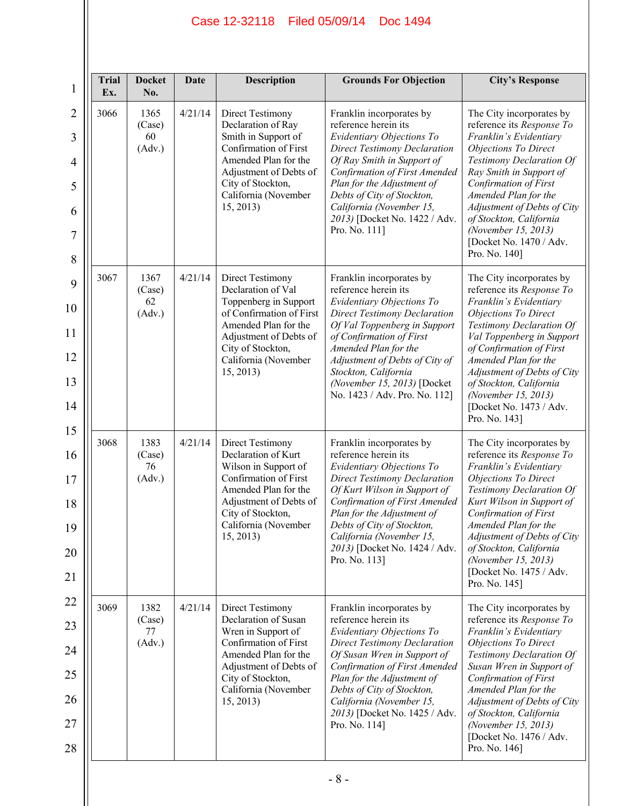| <b>Trial</b><br>Ex. | <b>Docket</b><br>No.           | <b>Date</b> | <b>Description</b>                                                                                                                                                                                      | <b>Grounds For Objection</b>                                                                                                                                                                                                                                                                                                       | <b>City's Response</b>                                                                                                                                                                                                                                                                                                                               |
|---------------------|--------------------------------|-------------|---------------------------------------------------------------------------------------------------------------------------------------------------------------------------------------------------------|------------------------------------------------------------------------------------------------------------------------------------------------------------------------------------------------------------------------------------------------------------------------------------------------------------------------------------|------------------------------------------------------------------------------------------------------------------------------------------------------------------------------------------------------------------------------------------------------------------------------------------------------------------------------------------------------|
| 3066                | 1365<br>(Case)<br>60<br>(Adv.) | 4/21/14     | Direct Testimony<br>Declaration of Ray<br>Smith in Support of<br>Confirmation of First<br>Amended Plan for the<br>Adjustment of Debts of<br>City of Stockton,<br>California (November<br>15, 2013)      | Franklin incorporates by<br>reference herein its<br>Evidentiary Objections To<br><b>Direct Testimony Declaration</b><br>Of Ray Smith in Support of<br>Confirmation of First Amended<br>Plan for the Adjustment of<br>Debts of City of Stockton,<br>California (November 15,<br>2013) [Docket No. 1422 / Adv.<br>Pro. No. 111]      | The City incorporates by<br>reference its Response To<br>Franklin's Evidentiary<br><b>Objections To Direct</b><br>Testimony Declaration Of<br>Ray Smith in Support of<br>Confirmation of First<br>Amended Plan for the<br>Adjustment of Debts of City<br>of Stockton, California<br>(November 15, 2013)<br>[Docket No. 1470 / Adv.<br>Pro. No. 140]  |
| 3067                | 1367<br>(Case)<br>62<br>(Adv.) | 4/21/14     | Direct Testimony<br>Declaration of Val<br>Toppenberg in Support<br>of Confirmation of First<br>Amended Plan for the<br>Adjustment of Debts of<br>City of Stockton,<br>California (November<br>15, 2013) | Franklin incorporates by<br>reference herein its<br>Evidentiary Objections To<br><b>Direct Testimony Declaration</b><br>Of Val Toppenberg in Support<br>of Confirmation of First<br>Amended Plan for the<br>Adjustment of Debts of City of<br>Stockton, California<br>(November 15, 2013) [Docket<br>No. 1423 / Adv. Pro. No. 112] | The City incorporates by<br>reference its Response To<br>Franklin's Evidentiary<br>Objections To Direct<br>Testimony Declaration Of<br>Val Toppenberg in Support<br>of Confirmation of First<br>Amended Plan for the<br>Adjustment of Debts of City<br>of Stockton, California<br>(November 15, 2013)<br>[Docket No. 1473 / Adv.<br>Pro. No. 143]    |
| 3068                | 1383<br>(Case)<br>76<br>(Adv.) | 4/21/14     | Direct Testimony<br>Declaration of Kurt<br>Wilson in Support of<br>Confirmation of First<br>Amended Plan for the<br>Adjustment of Debts of<br>City of Stockton,<br>California (November<br>15, 2013)    | Franklin incorporates by<br>reference herein its<br>Evidentiary Objections To<br><b>Direct Testimony Declaration</b><br>Of Kurt Wilson in Support of<br>Confirmation of First Amended<br>Plan for the Adjustment of<br>Debts of City of Stockton,<br>California (November 15,<br>2013) [Docket No. 1424 / Adv.<br>Pro. No. 113]    | The City incorporates by<br>reference its Response To<br>Franklin's Evidentiary<br>Objections To Direct<br>Testimony Declaration Of<br>Kurt Wilson in Support of<br>Confirmation of First<br>Amended Plan for the<br>Adjustment of Debts of City<br>of Stockton, California<br>(November 15, 2013)<br>[Docket No. 1475 / Adv.<br>Pro. No. 145]       |
| 3069                | 1382<br>(Case)<br>77<br>(Adv.) | 4/21/14     | Direct Testimony<br>Declaration of Susan<br>Wren in Support of<br>Confirmation of First<br>Amended Plan for the<br>Adjustment of Debts of<br>City of Stockton,<br>California (November<br>15, 2013)     | Franklin incorporates by<br>reference herein its<br>Evidentiary Objections To<br><b>Direct Testimony Declaration</b><br>Of Susan Wren in Support of<br>Confirmation of First Amended<br>Plan for the Adjustment of<br>Debts of City of Stockton,<br>California (November 15,<br>2013) [Docket No. 1425 / Adv.<br>Pro. No. 114]     | The City incorporates by<br>reference its Response To<br>Franklin's Evidentiary<br><b>Objections To Direct</b><br>Testimony Declaration Of<br>Susan Wren in Support of<br>Confirmation of First<br>Amended Plan for the<br>Adjustment of Debts of City<br>of Stockton, California<br>(November 15, 2013)<br>[Docket No. 1476 / Adv.<br>Pro. No. 146] |